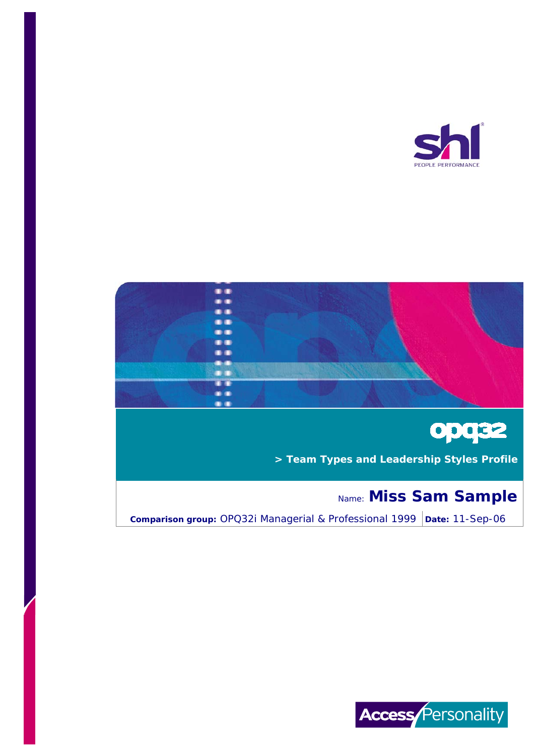



# **opg32**

 **> Team Types and Leadership Styles Profile**

## Name: **Miss Sam Sample**

**Comparison group:** OPQ32i Managerial & Professional 1999 | Date: 11-Sep-06

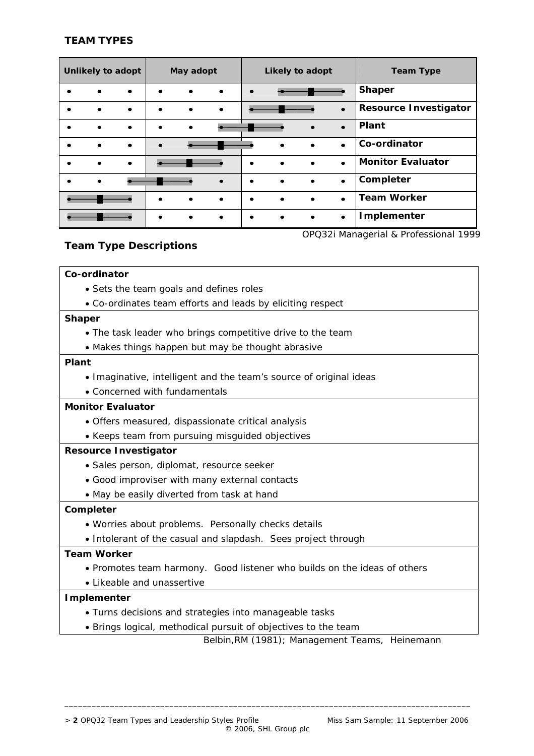## **TEAM TYPES**

| Unlikely to adopt                     |           |           | May adopt |  |           | Likely to adopt |           |  |           | <b>Team Type</b>             |
|---------------------------------------|-----------|-----------|-----------|--|-----------|-----------------|-----------|--|-----------|------------------------------|
|                                       |           | ٠         |           |  | $\bullet$ |                 |           |  |           | <b>Shaper</b>                |
|                                       |           | $\bullet$ |           |  | $\bullet$ |                 |           |  | $\bullet$ | <b>Resource Investigator</b> |
|                                       | $\bullet$ | $\bullet$ |           |  |           |                 |           |  | $\bullet$ | Plant                        |
|                                       | ٠         |           |           |  |           |                 |           |  | $\bullet$ | Co-ordinator                 |
|                                       |           | $\bullet$ |           |  |           |                 | $\bullet$ |  | $\bullet$ | <b>Monitor Evaluator</b>     |
|                                       |           |           |           |  | $\bullet$ |                 | $\bullet$ |  | $\bullet$ | Completer                    |
|                                       |           |           |           |  | $\bullet$ |                 | $\bullet$ |  | $\bullet$ | <b>Team Worker</b>           |
|                                       |           |           |           |  | $\bullet$ | $\bullet$       | $\bullet$ |  | $\bullet$ | Implementer                  |
| OPQ32i Managerial & Professional 1999 |           |           |           |  |           |                 |           |  |           |                              |

## **Team Type Descriptions**

#### **Co-ordinator**

- Sets the team goals and defines roles
- Co-ordinates team efforts and leads by eliciting respect

#### **Shaper**

- The task leader who brings competitive drive to the team
- Makes things happen but may be thought abrasive

#### **Plant**

- Imaginative, intelligent and the team's source of original ideas
- Concerned with fundamentals

## **Monitor Evaluator**

- Offers measured, dispassionate critical analysis
- Keeps team from pursuing misguided objectives

#### **Resource Investigator**

- Sales person, diplomat, resource seeker
- Good improviser with many external contacts
- May be easily diverted from task at hand

#### **Completer**

- Worries about problems. Personally checks details
- Intolerant of the casual and slapdash. Sees project through

## **Team Worker**

• Promotes team harmony. Good listener who builds on the ideas of others

\_\_\_\_\_\_\_\_\_\_\_\_\_\_\_\_\_\_\_\_\_\_\_\_\_\_\_\_\_\_\_\_\_\_\_\_\_\_\_\_\_\_\_\_\_\_\_\_\_\_\_\_\_\_\_\_\_\_\_\_\_\_\_\_\_\_\_\_\_\_\_\_\_\_\_\_\_\_\_\_\_\_\_\_\_\_\_\_\_

• Likeable and unassertive

## **Implementer**

- Turns decisions and strategies into manageable tasks
- Brings logical, methodical pursuit of objectives to the team

 *Belbin,RM (1981); Management Teams, Heinemann*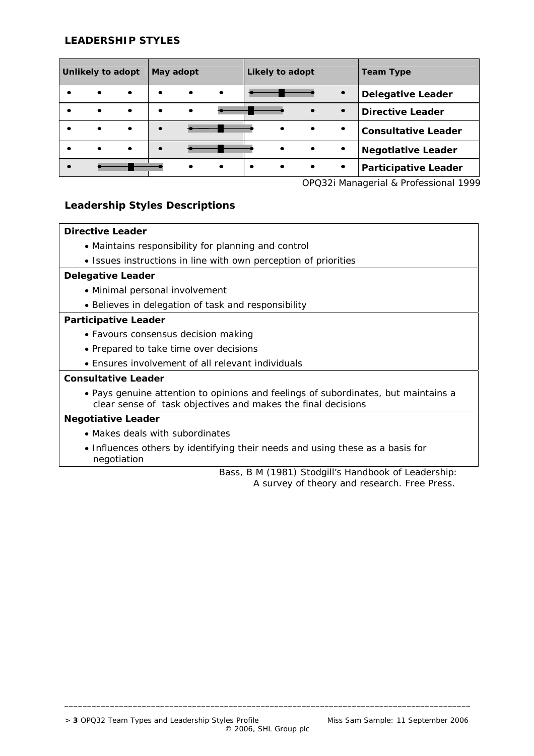## **LEADERSHIP STYLES**

| <b>Unlikely to adopt</b> |           |           | May adopt |           |           | Likely to adopt |           |           |           | <b>Team Type</b>            |
|--------------------------|-----------|-----------|-----------|-----------|-----------|-----------------|-----------|-----------|-----------|-----------------------------|
|                          | $\bullet$ | $\bullet$ | $\bullet$ | $\bullet$ | $\bullet$ |                 |           |           | $\bullet$ | <b>Delegative Leader</b>    |
|                          | $\bullet$ | $\bullet$ | $\bullet$ | $\bullet$ |           |                 |           | $\bullet$ | $\bullet$ | <b>Directive Leader</b>     |
|                          | $\bullet$ | $\bullet$ |           |           |           |                 | $\bullet$ | $\bullet$ | $\bullet$ | <b>Consultative Leader</b>  |
|                          | $\bullet$ | $\bullet$ | $\bullet$ |           |           |                 | $\bullet$ | $\bullet$ | $\bullet$ | <b>Negotiative Leader</b>   |
|                          |           |           |           | $\bullet$ | $\bullet$ | $\bullet$       | $\bullet$ | $\bullet$ | $\bullet$ | <b>Participative Leader</b> |

*OPQ32i Managerial & Professional 1999* 

## **Leadership Styles Descriptions**

## **Directive Leader**

- Maintains responsibility for planning and control
- Issues instructions in line with own perception of priorities

#### **Delegative Leader**

- Minimal personal involvement
- Believes in delegation of task and responsibility

#### **Participative Leader**

- Favours consensus decision making
- Prepared to take time over decisions
- Ensures involvement of all relevant individuals

## **Consultative Leader**

• Pays genuine attention to opinions and feelings of subordinates, but maintains a clear sense of task objectives and makes the final decisions

\_\_\_\_\_\_\_\_\_\_\_\_\_\_\_\_\_\_\_\_\_\_\_\_\_\_\_\_\_\_\_\_\_\_\_\_\_\_\_\_\_\_\_\_\_\_\_\_\_\_\_\_\_\_\_\_\_\_\_\_\_\_\_\_\_\_\_\_\_\_\_\_\_\_\_\_\_\_\_\_\_\_\_\_\_\_\_\_\_

#### **Negotiative Leader**

- Makes deals with subordinates
- Influences others by identifying their needs and using these as a basis for negotiation

 *Bass, B M (1981) Stodgill's Handbook of Leadership: A survey of theory and research. Free Press.*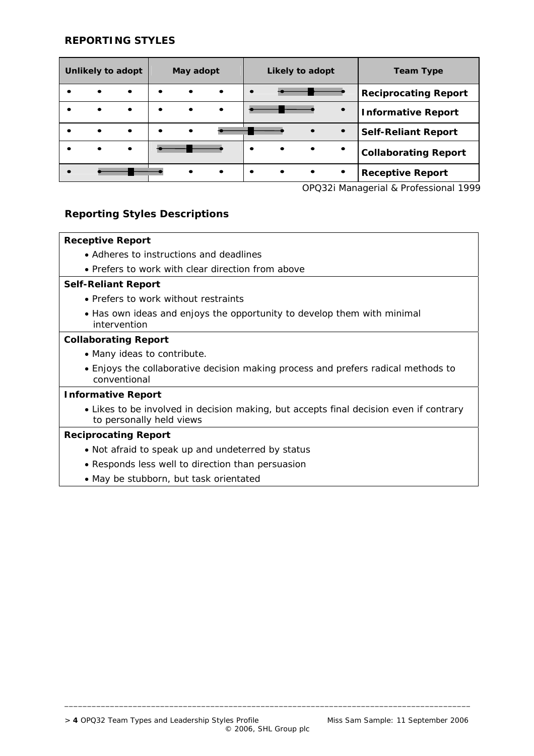#### **REPORTING STYLES**

| Unlikely to adopt |           |           | May adopt |           |           | Likely to adopt |           |           |           | <b>Team Type</b>            |
|-------------------|-----------|-----------|-----------|-----------|-----------|-----------------|-----------|-----------|-----------|-----------------------------|
|                   | ٠         | $\bullet$ |           | $\bullet$ | $\bullet$ | $\bullet$       |           |           |           | <b>Reciprocating Report</b> |
|                   | $\bullet$ | $\bullet$ | $\bullet$ | $\bullet$ | $\bullet$ |                 |           |           | $\bullet$ | <b>Informative Report</b>   |
|                   | $\bullet$ | $\bullet$ |           | $\bullet$ |           |                 |           |           | $\bullet$ | <b>Self-Reliant Report</b>  |
|                   | $\bullet$ | $\bullet$ |           |           |           | $\bullet$       | $\bullet$ | $\bullet$ | $\bullet$ | <b>Collaborating Report</b> |
|                   |           |           |           |           | $\bullet$ | ٠               | $\bullet$ | $\bullet$ | $\bullet$ | <b>Receptive Report</b>     |

*OPQ32i Managerial & Professional 1999*

## **Reporting Styles Descriptions**

#### **Receptive Report**

- Adheres to instructions and deadlines
- Prefers to work with clear direction from above

#### **Self-Reliant Report**

- Prefers to work without restraints
- Has own ideas and enjoys the opportunity to develop them with minimal intervention

#### **Collaborating Report**

- Many ideas to contribute.
- Enjoys the collaborative decision making process and prefers radical methods to conventional

#### **Informative Report**

• Likes to be involved in decision making, but accepts final decision even if contrary to personally held views

\_\_\_\_\_\_\_\_\_\_\_\_\_\_\_\_\_\_\_\_\_\_\_\_\_\_\_\_\_\_\_\_\_\_\_\_\_\_\_\_\_\_\_\_\_\_\_\_\_\_\_\_\_\_\_\_\_\_\_\_\_\_\_\_\_\_\_\_\_\_\_\_\_\_\_\_\_\_\_\_\_\_\_\_\_\_\_\_\_

#### **Reciprocating Report**

- Not afraid to speak up and undeterred by status
- Responds less well to direction than persuasion
- May be stubborn, but task orientated